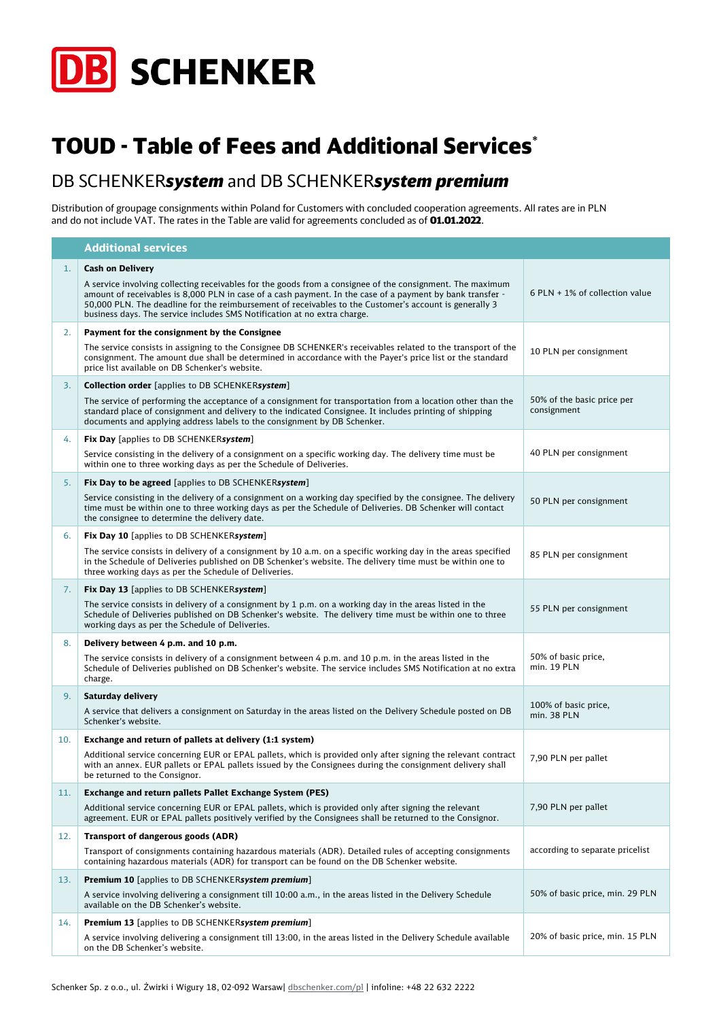

## TOUD - Table of Fees and Additional Services\*

## DB SCHENKER*system* and DB SCHENKER*system premium*

Distribution of groupage consignments within Poland for Customers with concluded cooperation agreements. All rates are in PLN and do not include VAT. The rates in the Table are valid for agreements concluded as of **01.01.2022**.

|     | <b>Additional services</b>                                                                                                                                                                                                                                                                                                                                                                                   |                                           |
|-----|--------------------------------------------------------------------------------------------------------------------------------------------------------------------------------------------------------------------------------------------------------------------------------------------------------------------------------------------------------------------------------------------------------------|-------------------------------------------|
| 1.  | <b>Cash on Delivery</b>                                                                                                                                                                                                                                                                                                                                                                                      |                                           |
|     | A service involving collecting receivables for the goods from a consignee of the consignment. The maximum<br>amount of receivables is 8,000 PLN in case of a cash payment. In the case of a payment by bank transfer -<br>50,000 PLN. The deadline for the reimbursement of receivables to the Customer's account is generally 3<br>business days. The service includes SMS Notification at no extra charge. | 6 PLN $+$ 1% of collection value          |
| 2.  | Payment for the consignment by the Consignee                                                                                                                                                                                                                                                                                                                                                                 |                                           |
|     | The service consists in assigning to the Consignee DB SCHENKER's receivables related to the transport of the<br>consignment. The amount due shall be determined in accordance with the Payer's price list or the standard<br>price list available on DB Schenker's website.                                                                                                                                  | 10 PLN per consignment                    |
| 3.  | <b>Collection order</b> [applies to DB SCHENKERsystem]                                                                                                                                                                                                                                                                                                                                                       |                                           |
|     | The service of performing the acceptance of a consignment for transportation from a location other than the<br>standard place of consignment and delivery to the indicated Consignee. It includes printing of shipping<br>documents and applying address labels to the consignment by DB Schenker.                                                                                                           | 50% of the basic price per<br>consignment |
| 4.  | <b>Fix Day</b> [applies to DB SCHENKERsystem]                                                                                                                                                                                                                                                                                                                                                                |                                           |
|     | Service consisting in the delivery of a consignment on a specific working day. The delivery time must be<br>within one to three working days as per the Schedule of Deliveries.                                                                                                                                                                                                                              | 40 PLN per consignment                    |
| 5.  | Fix Day to be agreed [applies to DB SCHENKERsystem]                                                                                                                                                                                                                                                                                                                                                          |                                           |
|     | Service consisting in the delivery of a consignment on a working day specified by the consignee. The delivery<br>time must be within one to three working days as per the Schedule of Deliveries. DB Schenker will contact<br>the consignee to determine the delivery date.                                                                                                                                  | 50 PLN per consignment                    |
| 6.  | <b>Fix Day 10</b> [applies to DB SCHENKERsystem]                                                                                                                                                                                                                                                                                                                                                             |                                           |
|     | The service consists in delivery of a consignment by 10 a.m. on a specific working day in the areas specified<br>in the Schedule of Deliveries published on DB Schenker's website. The delivery time must be within one to<br>three working days as per the Schedule of Deliveries.                                                                                                                          | 85 PLN per consignment                    |
| 7.  | Fix Day 13 [applies to DB SCHENKERsystem]                                                                                                                                                                                                                                                                                                                                                                    |                                           |
|     | The service consists in delivery of a consignment by 1 p.m. on a working day in the areas listed in the<br>Schedule of Deliveries published on DB Schenker's website. The delivery time must be within one to three<br>working days as per the Schedule of Deliveries.                                                                                                                                       | 55 PLN per consignment                    |
| 8.  | Delivery between 4 p.m. and 10 p.m.                                                                                                                                                                                                                                                                                                                                                                          |                                           |
|     | The service consists in delivery of a consignment between $4$ p.m. and 10 p.m. in the areas listed in the<br>Schedule of Deliveries published on DB Schenker's website. The service includes SMS Notification at no extra<br>charge.                                                                                                                                                                         | 50% of basic price,<br>min. 19 PLN        |
| 9.  | Saturday delivery                                                                                                                                                                                                                                                                                                                                                                                            |                                           |
|     | A service that delivers a consignment on Saturday in the areas listed on the Delivery Schedule posted on DB<br>Schenker's website.                                                                                                                                                                                                                                                                           | 100% of basic price,<br>min. 38 PLN       |
| 10. | Exchange and return of pallets at delivery (1:1 system)                                                                                                                                                                                                                                                                                                                                                      |                                           |
|     | Additional service concerning EUR or EPAL pallets, which is provided only after signing the relevant contract<br>with an annex. EUR pallets or EPAL pallets issued by the Consignees during the consignment delivery shall<br>be returned to the Consignor.                                                                                                                                                  | 7,90 PLN per pallet                       |
| 11. | Exchange and return pallets Pallet Exchange System (PES)                                                                                                                                                                                                                                                                                                                                                     |                                           |
|     | Additional service concerning EUR or EPAL pallets, which is provided only after signing the relevant<br>agreement. EUR or EPAL pallets positively verified by the Consignees shall be returned to the Consignor.                                                                                                                                                                                             | 7,90 PLN per pallet                       |
| 12. | <b>Transport of dangerous goods (ADR)</b>                                                                                                                                                                                                                                                                                                                                                                    |                                           |
|     | Transport of consignments containing hazardous materials (ADR). Detailed rules of accepting consignments<br>containing hazardous materials (ADR) for transport can be found on the DB Schenker website.                                                                                                                                                                                                      | according to separate pricelist           |
| 13. | <b>Premium 10</b> [applies to DB SCHENKERsystem premium]                                                                                                                                                                                                                                                                                                                                                     |                                           |
|     | A service involving delivering a consignment till 10:00 a.m., in the areas listed in the Delivery Schedule<br>available on the DB Schenker's website.                                                                                                                                                                                                                                                        | 50% of basic price, min. 29 PLN           |
| 14. | <b>Premium 13</b> [applies to DB SCHENKERsystem premium]                                                                                                                                                                                                                                                                                                                                                     |                                           |
|     | A service involving delivering a consignment till 13:00, in the areas listed in the Delivery Schedule available<br>on the DB Schenker's website.                                                                                                                                                                                                                                                             | 20% of basic price, min. 15 PLN           |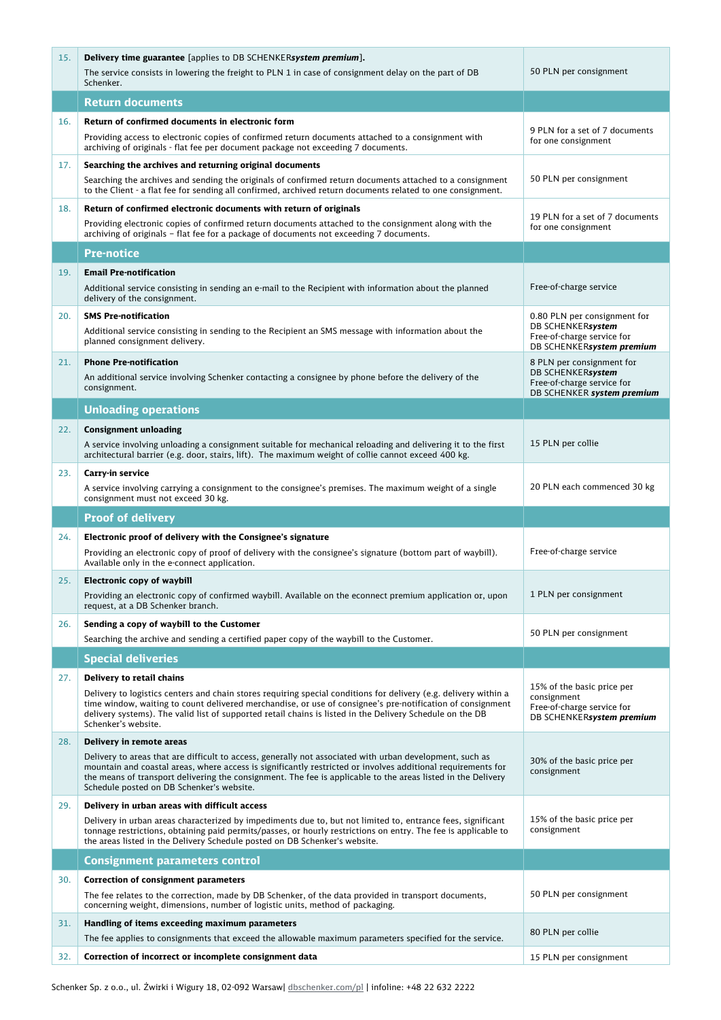| 15. | <b>Delivery time guarantee</b> [applies to DB SCHENKERsystem <i>premium</i> ].                                                                                                                                                                                                                                                                                                                                    |                                                                                                              |
|-----|-------------------------------------------------------------------------------------------------------------------------------------------------------------------------------------------------------------------------------------------------------------------------------------------------------------------------------------------------------------------------------------------------------------------|--------------------------------------------------------------------------------------------------------------|
|     | The service consists in lowering the freight to PLN 1 in case of consignment delay on the part of DB<br>Schenker.                                                                                                                                                                                                                                                                                                 | 50 PLN per consignment                                                                                       |
|     | <b>Return documents</b>                                                                                                                                                                                                                                                                                                                                                                                           |                                                                                                              |
| 16. | Return of confirmed documents in electronic form<br>Providing access to electronic copies of confirmed return documents attached to a consignment with<br>archiving of originals - flat fee per document package not exceeding 7 documents.                                                                                                                                                                       | 9 PLN for a set of 7 documents<br>for one consignment                                                        |
| 17. | Searching the archives and returning original documents<br>Searching the archives and sending the originals of confirmed return documents attached to a consignment<br>to the Client - a flat fee for sending all confirmed, archived return documents related to one consignment.                                                                                                                                | 50 PLN per consignment                                                                                       |
| 18. | Return of confirmed electronic documents with return of originals<br>Providing electronic copies of confirmed return documents attached to the consignment along with the<br>archiving of originals - flat fee for a package of documents not exceeding 7 documents.                                                                                                                                              | 19 PLN for a set of 7 documents<br>for one consignment                                                       |
|     | Pre-notice                                                                                                                                                                                                                                                                                                                                                                                                        |                                                                                                              |
| 19. | <b>Email Pre-notification</b><br>Additional service consisting in sending an e-mail to the Recipient with information about the planned<br>delivery of the consignment.                                                                                                                                                                                                                                           | Free-of-charge service                                                                                       |
| 20. | <b>SMS Pre-notification</b><br>Additional service consisting in sending to the Recipient an SMS message with information about the<br>planned consignment delivery.                                                                                                                                                                                                                                               | 0.80 PLN per consignment for<br>DB SCHENKERsystem<br>Free-of-charge service for<br>DB SCHENKERsystem premium |
| 21. | <b>Phone Pre-notification</b><br>An additional service involving Schenker contacting a consignee by phone before the delivery of the<br>consignment.                                                                                                                                                                                                                                                              | 8 PLN per consignment for<br>DB SCHENKERsystem<br>Free-of-charge service for<br>DB SCHENKER system premium   |
|     | <b>Unloading operations</b>                                                                                                                                                                                                                                                                                                                                                                                       |                                                                                                              |
| 22. | <b>Consignment unloading</b><br>A service involving unloading a consignment suitable for mechanical reloading and delivering it to the first<br>architectural barrier (e.g. door, stairs, lift). The maximum weight of collie cannot exceed 400 kg.                                                                                                                                                               | 15 PLN per collie                                                                                            |
| 23. | Carry-in service<br>A service involving carrying a consignment to the consignee's premises. The maximum weight of a single<br>consignment must not exceed 30 kg.                                                                                                                                                                                                                                                  | 20 PLN each commenced 30 kg                                                                                  |
|     |                                                                                                                                                                                                                                                                                                                                                                                                                   |                                                                                                              |
|     | <b>Proof of delivery</b>                                                                                                                                                                                                                                                                                                                                                                                          |                                                                                                              |
| 24. | Electronic proof of delivery with the Consignee's signature<br>Providing an electronic copy of proof of delivery with the consignee's signature (bottom part of waybill).<br>Available only in the e-connect application.                                                                                                                                                                                         | Free-of-charge service                                                                                       |
| 25. | <b>Electronic copy of waybill</b><br>Providing an electronic copy of confirmed waybill. Available on the econnect premium application or, upon<br>request, at a DB Schenker branch.                                                                                                                                                                                                                               | 1 PLN per consignment                                                                                        |
| 26. | Sending a copy of waybill to the Customer<br>Searching the archive and sending a certified paper copy of the waybill to the Customer.                                                                                                                                                                                                                                                                             | 50 PLN per consignment                                                                                       |
|     | <b>Special deliveries</b>                                                                                                                                                                                                                                                                                                                                                                                         |                                                                                                              |
| 27. | Delivery to retail chains<br>Delivery to logistics centers and chain stores requiring special conditions for delivery (e.g. delivery within a<br>time window, waiting to count delivered merchandise, or use of consignee's pre-notification of consignment<br>delivery systems). The valid list of supported retail chains is listed in the Delivery Schedule on the DB<br>Schenker's website.                   | 15% of the basic price per<br>consignment<br>Free-of-charge service for<br>DB SCHENKERsystem premium         |
| 28. | Delivery in remote areas<br>Delivery to areas that are difficult to access, generally not associated with urban development, such as<br>mountain and coastal areas, where access is significantly restricted or involves additional requirements for<br>the means of transport delivering the consignment. The fee is applicable to the areas listed in the Delivery<br>Schedule posted on DB Schenker's website. | 30% of the basic price per<br>consignment                                                                    |
| 29. | Delivery in urban areas with difficult access<br>Delivery in urban areas characterized by impediments due to, but not limited to, entrance fees, significant<br>tonnage restrictions, obtaining paid permits/passes, or hourly restrictions on entry. The fee is applicable to<br>the areas listed in the Delivery Schedule posted on DB Schenker's website.                                                      | 15% of the basic price per<br>consignment                                                                    |
|     | <b>Consignment parameters control</b>                                                                                                                                                                                                                                                                                                                                                                             |                                                                                                              |
| 30. | <b>Correction of consignment parameters</b><br>The fee relates to the correction, made by DB Schenker, of the data provided in transport documents,<br>concerning weight, dimensions, number of logistic units, method of packaging.                                                                                                                                                                              | 50 PLN per consignment                                                                                       |
| 31. | Handling of items exceeding maximum parameters<br>The fee applies to consignments that exceed the allowable maximum parameters specified for the service.                                                                                                                                                                                                                                                         | 80 PLN per collie                                                                                            |

П